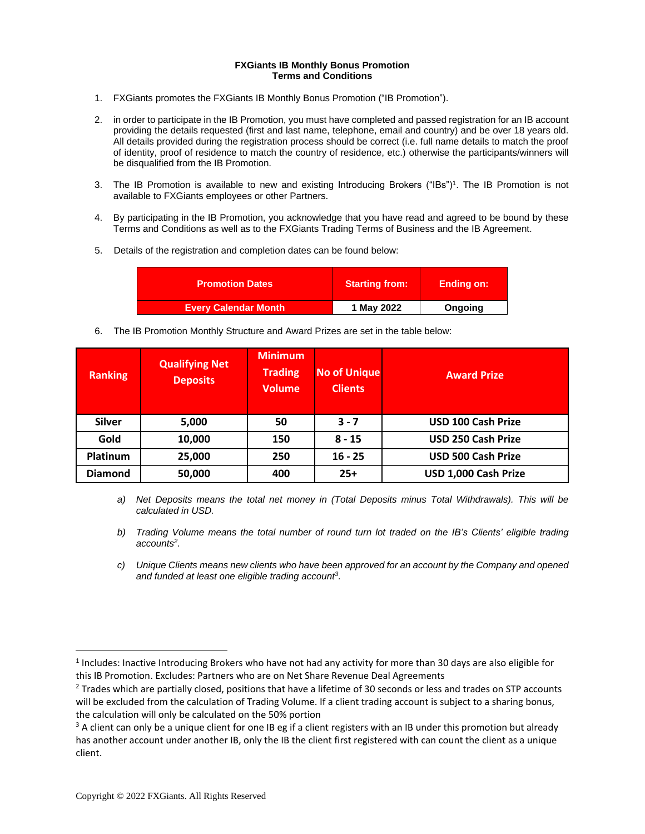## **FXGiants IB Monthly Bonus Promotion Terms and Conditions**

- 1. FXGiants promotes the FXGiants IB Monthly Bonus Promotion ("IB Promotion").
- 2. in order to participate in the IB Promotion, you must have completed and passed registration for an IB account providing the details requested (first and last name, telephone, email and country) and be over 18 years old. All details provided during the registration process should be correct (i.e. full name details to match the proof of identity, proof of residence to match the country of residence, etc.) otherwise the participants/winners will be disqualified from the IB Promotion.
- 3. The IB Promotion is available to new and existing Introducing Brokers ("IBs")<sup>1</sup>. The IB Promotion is not available to FXGiants employees or other Partners.
- 4. By participating in the IB Promotion, you acknowledge that you have read and agreed to be bound by these Terms and Conditions as well as to the FXGiants Trading Terms of Business and the IB Agreement.
- 5. Details of the registration and completion dates can be found below:

| <b>Promotion Dates</b>      | <b>Starting from:</b> | <b>Ending on:</b> |
|-----------------------------|-----------------------|-------------------|
| <b>Every Calendar Month</b> | 1 May 2022            | Ongoing           |

6. The IB Promotion Monthly Structure and Award Prizes are set in the table below:

| <b>Ranking</b> | <b>Qualifying Net</b><br><b>Deposits</b> | <b>Minimum</b><br><b>Trading</b><br><b>Volume</b> | <b>No of Unique</b><br><b>Clients</b> | <b>Award Prize</b>        |
|----------------|------------------------------------------|---------------------------------------------------|---------------------------------------|---------------------------|
| <b>Silver</b>  | 5,000                                    | 50                                                | $3 - 7$                               | <b>USD 100 Cash Prize</b> |
| Gold           | 10,000                                   | 150                                               | $8 - 15$                              | <b>USD 250 Cash Prize</b> |
| Platinum       | 25,000                                   | 250                                               | $16 - 25$                             | <b>USD 500 Cash Prize</b> |
| <b>Diamond</b> | 50,000                                   | 400                                               | $25+$                                 | USD 1,000 Cash Prize      |

- *a) Net Deposits means the total net money in (Total Deposits minus Total Withdrawals). This will be calculated in USD.*
- *b) Trading Volume means the total number of round turn lot traded on the IB's Clients' eligible trading accounts<sup>2</sup> .*
- *c) Unique Clients means new clients who have been approved for an account by the Company and opened and funded at least one eligible trading account<sup>3</sup> .*

<sup>&</sup>lt;sup>1</sup> Includes: Inactive Introducing Brokers who have not had any activity for more than 30 days are also eligible for this IB Promotion. Excludes: Partners who are on Net Share Revenue Deal Agreements

<sup>&</sup>lt;sup>2</sup> Trades which are partially closed, positions that have a lifetime of 30 seconds or less and trades on STP accounts will be excluded from the calculation of Trading Volume. If a client trading account is subject to a sharing bonus, the calculation will only be calculated on the 50% portion

 $3$  A client can only be a unique client for one IB eg if a client registers with an IB under this promotion but already has another account under another IB, only the IB the client first registered with can count the client as a unique client.